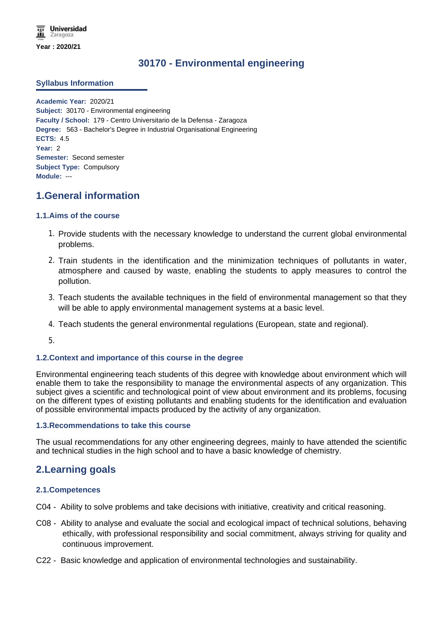# **30170 - Environmental engineering**

# **Syllabus Information**

**Academic Year:** 2020/21 **Subject:** 30170 - Environmental engineering **Faculty / School:** 179 - Centro Universitario de la Defensa - Zaragoza **Degree:** 563 - Bachelor's Degree in Industrial Organisational Engineering **ECTS:** 4.5 **Year:** 2 **Semester:** Second semester **Subject Type:** Compulsory **Module:** ---

# **1.General information**

# **1.1.Aims of the course**

- 1. Provide students with the necessary knowledge to understand the current global environmental problems.
- 2. Train students in the identification and the minimization techniques of pollutants in water, atmosphere and caused by waste, enabling the students to apply measures to control the pollution.
- 3. Teach students the available techniques in the field of environmental management so that they will be able to apply environmental management systems at a basic level.
- 4. Teach students the general environmental regulations (European, state and regional).
- 5.

## **1.2.Context and importance of this course in the degree**

Environmental engineering teach students of this degree with knowledge about environment which will enable them to take the responsibility to manage the environmental aspects of any organization. This subject gives a scientific and technological point of view about environment and its problems, focusing on the different types of existing pollutants and enabling students for the identification and evaluation of possible environmental impacts produced by the activity of any organization.

## **1.3.Recommendations to take this course**

The usual recommendations for any other engineering degrees, mainly to have attended the scientific and technical studies in the high school and to have a basic knowledge of chemistry.

# **2.Learning goals**

## **2.1.Competences**

- C04 Ability to solve problems and take decisions with initiative, creativity and critical reasoning.
- C08 Ability to analyse and evaluate the social and ecological impact of technical solutions, behaving ethically, with professional responsibility and social commitment, always striving for quality and continuous improvement.
- C22 Basic knowledge and application of environmental technologies and sustainability.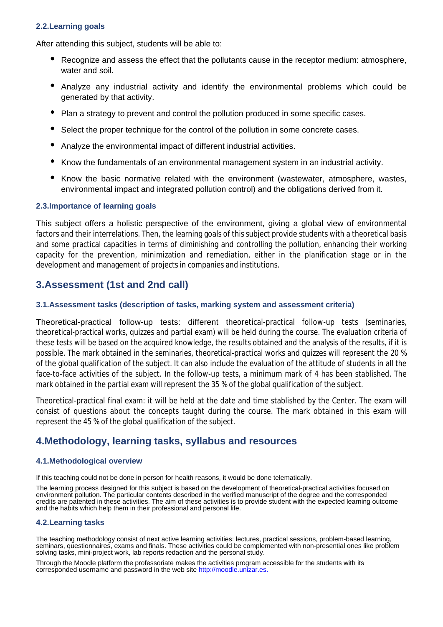# **2.2.Learning goals**

After attending this subject, students will be able to:

- Recognize and assess the effect that the pollutants cause in the receptor medium: atmosphere, water and soil.
- Analyze any industrial activity and identify the environmental problems which could be generated by that activity.
- $\bullet$ Plan a strategy to prevent and control the pollution produced in some specific cases.
- Select the proper technique for the control of the pollution in some concrete cases.
- Analyze the environmental impact of different industrial activities.
- Know the fundamentals of an environmental management system in an industrial activity.
- Know the basic normative related with the environment (wastewater, atmosphere, wastes, environmental impact and integrated pollution control) and the obligations derived from it.

## **2.3.Importance of learning goals**

This subject offers a holistic perspective of the environment, giving a global view of environmental factors and their interrelations. Then, the learning goals of this subject provide students with a theoretical basis and some practical capacities in terms of diminishing and controlling the pollution, enhancing their working capacity for the prevention, minimization and remediation, either in the planification stage or in the development and management of projects in companies and institutions.

# **3.Assessment (1st and 2nd call)**

## **3.1.Assessment tasks (description of tasks, marking system and assessment criteria)**

Theoretical-practical follow-up tests: different theoretical-practical follow-up tests (seminaries, theoretical-practical works, quizzes and partial exam) will be held during the course. The evaluation criteria of these tests will be based on the acquired knowledge, the results obtained and the analysis of the results, if it is possible. The mark obtained in the seminaries, theoretical-practical works and quizzes will represent the 20 % of the global qualification of the subject. It can also include the evaluation of the attitude of students in all the face-to-face activities of the subject. In the follow-up tests, a minimum mark of 4 has been stablished. The mark obtained in the partial exam will represent the 35 % of the global qualification of the subject.

Theoretical-practical final exam: it will be held at the date and time stablished by the Center. The exam will consist of questions about the concepts taught during the course. The mark obtained in this exam will represent the 45 % of the global qualification of the subject.

# **4.Methodology, learning tasks, syllabus and resources**

### **4.1.Methodological overview**

If this teaching could not be done in person for health reasons, it would be done telematically.

The learning process designed for this subject is based on the development of theoretical-practical activities focused on environment pollution. The particular contents described in the verified manuscript of the degree and the corresponded credits are patented in these activities. The aim of these activities is to provide student with the expected learning outcome and the habits which help them in their professional and personal life.

### **4.2.Learning tasks**

The teaching methodology consist of next active learning activities: lectures, practical sessions, problem-based learning, seminars, questionnaires, exams and finals. These activities could be complemented with non-presential ones like problem solving tasks, mini-project work, lab reports redaction and the personal study.

Through the Moodle platform the professoriate makes the activities program accessible for the students with its corresponded username and password in the web site http://moodle.unizar.es.